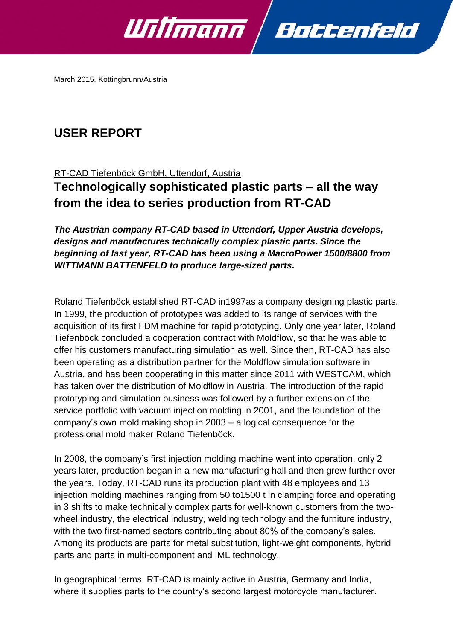

March 2015, Kottingbrunn/Austria

# **USER REPORT**

## RT-CAD Tiefenböck GmbH, Uttendorf, Austria

**Technologically sophisticated plastic parts – all the way from the idea to series production from RT-CAD**

*The Austrian company RT-CAD based in Uttendorf, Upper Austria develops, designs and manufactures technically complex plastic parts. Since the beginning of last year, RT-CAD has been using a MacroPower 1500/8800 from WITTMANN BATTENFELD to produce large-sized parts.* 

Roland Tiefenböck established RT-CAD in1997as a company designing plastic parts. In 1999, the production of prototypes was added to its range of services with the acquisition of its first FDM machine for rapid prototyping. Only one year later, Roland Tiefenböck concluded a cooperation contract with Moldflow, so that he was able to offer his customers manufacturing simulation as well. Since then, RT-CAD has also been operating as a distribution partner for the Moldflow simulation software in Austria, and has been cooperating in this matter since 2011 with WESTCAM, which has taken over the distribution of Moldflow in Austria. The introduction of the rapid prototyping and simulation business was followed by a further extension of the service portfolio with vacuum injection molding in 2001, and the foundation of the company's own mold making shop in 2003 – a logical consequence for the professional mold maker Roland Tiefenböck.

In 2008, the company's first injection molding machine went into operation, only 2 years later, production began in a new manufacturing hall and then grew further over the years. Today, RT-CAD runs its production plant with 48 employees and 13 injection molding machines ranging from 50 to1500 t in clamping force and operating in 3 shifts to make technically complex parts for well-known customers from the twowheel industry, the electrical industry, welding technology and the furniture industry, with the two first-named sectors contributing about 80% of the company's sales. Among its products are parts for metal substitution, light-weight components, hybrid parts and parts in multi-component and IML technology.

In geographical terms, RT-CAD is mainly active in Austria, Germany and India, where it supplies parts to the country's second largest motorcycle manufacturer.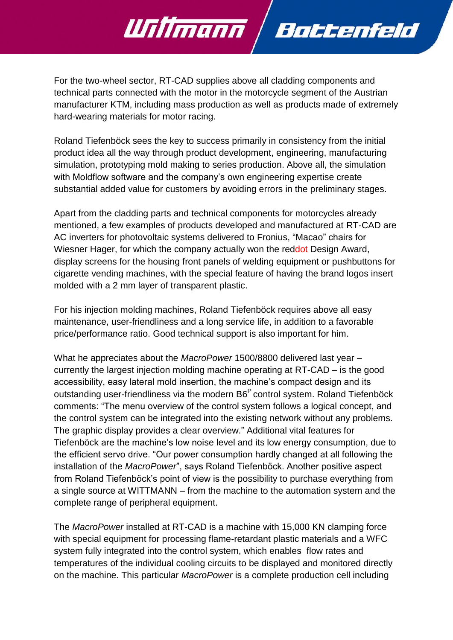For the two-wheel sector, RT-CAD supplies above all cladding components and technical parts connected with the motor in the motorcycle segment of the Austrian manufacturer KTM, including mass production as well as products made of extremely hard-wearing materials for motor racing.

Battenfeld

Willmann

Roland Tiefenböck sees the key to success primarily in consistency from the initial product idea all the way through product development, engineering, manufacturing simulation, prototyping mold making to series production. Above all, the simulation with Moldflow software and the company's own engineering expertise create substantial added value for customers by avoiding errors in the preliminary stages.

Apart from the cladding parts and technical components for motorcycles already mentioned, a few examples of products developed and manufactured at RT-CAD are AC inverters for photovoltaic systems delivered to Fronius, "Macao" chairs for Wiesner Hager, for which the company actually won the reddot Design Award, display screens for the housing front panels of welding equipment or pushbuttons for cigarette vending machines, with the special feature of having the brand logos insert molded with a 2 mm layer of transparent plastic.

For his injection molding machines, Roland Tiefenböck requires above all easy maintenance, user-friendliness and a long service life, in addition to a favorable price/performance ratio. Good technical support is also important for him.

What he appreciates about the *MacroPower* 1500/8800 delivered last year – currently the largest injection molding machine operating at RT-CAD – is the good accessibility, easy lateral mold insertion, the machine's compact design and its outstanding user-friendliness via the modern B6<sup>P</sup> control system. Roland Tiefenböck comments: "The menu overview of the control system follows a logical concept, and the control system can be integrated into the existing network without any problems. The graphic display provides a clear overview." Additional vital features for Tiefenböck are the machine's low noise level and its low energy consumption, due to the efficient servo drive. "Our power consumption hardly changed at all following the installation of the *MacroPower*", says Roland Tiefenböck. Another positive aspect from Roland Tiefenböck's point of view is the possibility to purchase everything from a single source at WITTMANN – from the machine to the automation system and the complete range of peripheral equipment.

The *MacroPower* installed at RT-CAD is a machine with 15,000 KN clamping force with special equipment for processing flame-retardant plastic materials and a WFC system fully integrated into the control system, which enables flow rates and temperatures of the individual cooling circuits to be displayed and monitored directly on the machine. This particular *MacroPower* is a complete production cell including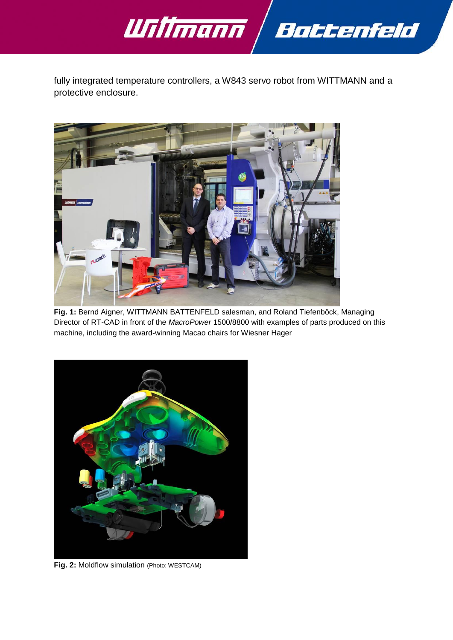

fully integrated temperature controllers, a W843 servo robot from WITTMANN and a protective enclosure.



**Fig. 1:** Bernd Aigner, WITTMANN BATTENFELD salesman, and Roland Tiefenböck, Managing Director of RT-CAD in front of the *MacroPower* 1500/8800 with examples of parts produced on this machine, including the award-winning Macao chairs for Wiesner Hager



**Fig. 2:** Moldflow simulation (Photo: WESTCAM)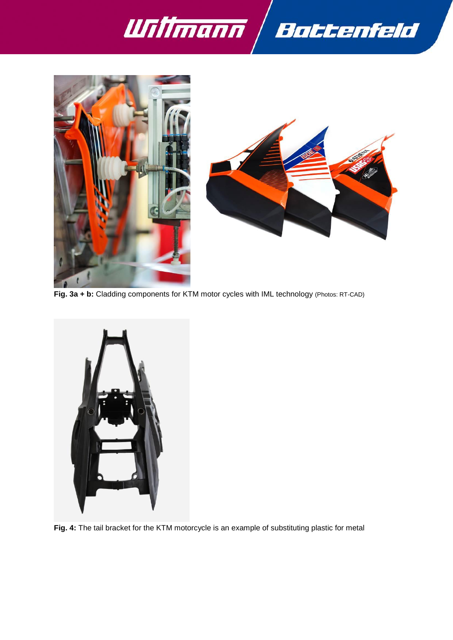





**Fig. 3a + b:** Cladding components for KTM motor cycles with IML technology (Photos: RT-CAD)



**Fig. 4:** The tail bracket for the KTM motorcycle is an example of substituting plastic for metal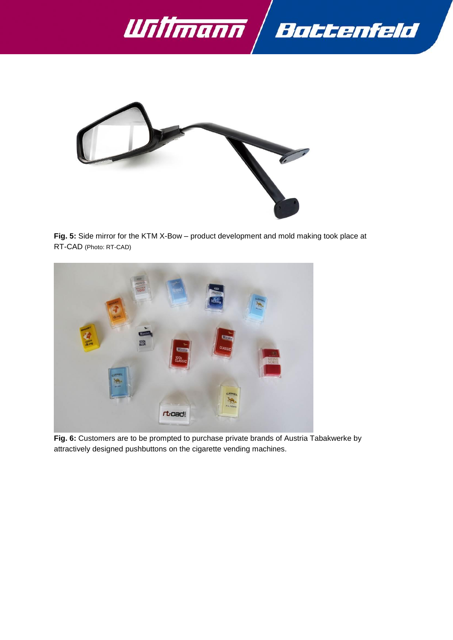



**Fig. 5:** Side mirror for the KTM X-Bow – product development and mold making took place at RT-CAD (Photo: RT-CAD)



**Fig. 6:** Customers are to be prompted to purchase private brands of Austria Tabakwerke by attractively designed pushbuttons on the cigarette vending machines.